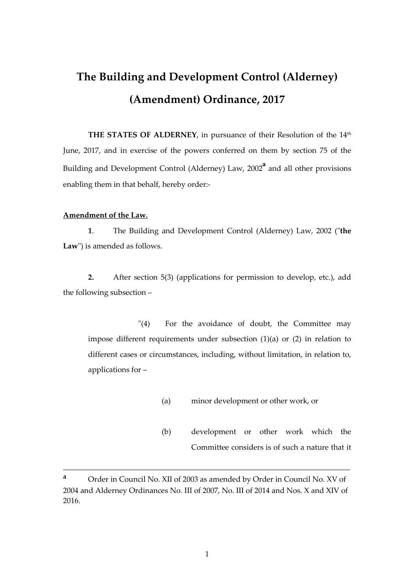# **The Building and Development Control (Alderney) (Amendment) Ordinance, 2017**

THE STATES OF ALDERNEY, in pursuance of their Resolution of the 14<sup>th</sup> June, 2017, and in exercise of the powers conferred on them by section 75 of the Building and Development Control (Alderney) Law, 2002**<sup>a</sup>** and all other provisions enabling them in that behalf, hereby order:-

## **Amendment of the Law.**

**1**. The Building and Development Control (Alderney) Law, 2002 ("**the Law**") is amended as follows.

**2.** After section 5(3) (applications for permission to develop, etc.), add the following subsection –

 "(4) For the avoidance of doubt, the Committee may impose different requirements under subsection (1)(a) or (2) in relation to different cases or circumstances, including, without limitation, in relation to, applications for –

- (a) minor development or other work, or
- (b) development or other work which the Committee considers is of such a nature that it

**<sup>a</sup>** Order in Council No. XII of 2003 as amended by Order in Council No. XV of 2004 and Alderney Ordinances No. III of 2007, No. III of 2014 and Nos. X and XIV of 2016.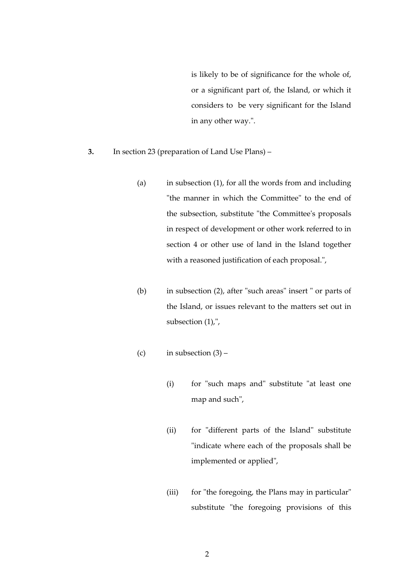is likely to be of significance for the whole of, or a significant part of, the Island, or which it considers to be very significant for the Island in any other way.".

- **3.** In section 23 (preparation of Land Use Plans)
	- (a) in subsection (1), for all the words from and including "the manner in which the Committee" to the end of the subsection, substitute "the Committee's proposals in respect of development or other work referred to in section 4 or other use of land in the Island together with a reasoned justification of each proposal.",
	- (b) in subsection (2), after "such areas" insert " or parts of the Island, or issues relevant to the matters set out in subsection (1),",
	- (c) in subsection  $(3)$ 
		- (i) for "such maps and" substitute "at least one map and such",
		- (ii) for "different parts of the Island" substitute "indicate where each of the proposals shall be implemented or applied",
		- (iii) for "the foregoing, the Plans may in particular" substitute "the foregoing provisions of this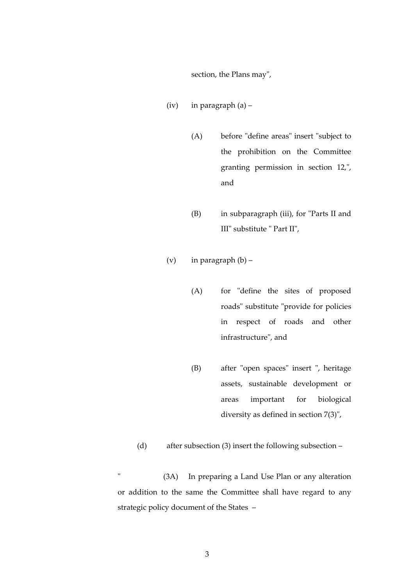section, the Plans may",

- (iv) in paragraph (a)
	- (A) before "define areas" insert "subject to the prohibition on the Committee granting permission in section 12,", and
	- (B) in subparagraph (iii), for "Parts II and III" substitute " Part II",
- (v) in paragraph  $(b)$ 
	- (A) for "define the sites of proposed roads" substitute "provide for policies in respect of roads and other infrastructure", and
	- (B) after "open spaces" insert ", heritage assets, sustainable development or areas important for biological diversity as defined in section 7(3)",
- (d) after subsection (3) insert the following subsection –

 " (3A) In preparing a Land Use Plan or any alteration or addition to the same the Committee shall have regard to any strategic policy document of the States –

3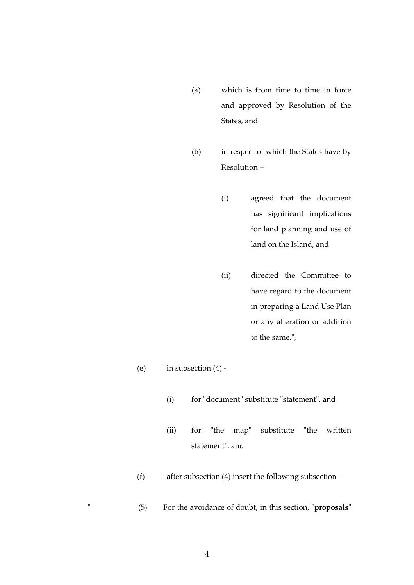- (a) which is from time to time in force and approved by Resolution of the States, and
- (b) in respect of which the States have by Resolution –
	- (i) agreed that the document has significant implications for land planning and use of land on the Island, and
	- (ii) directed the Committee to have regard to the document in preparing a Land Use Plan or any alteration or addition to the same.",
- (e) in subsection (4)
	- (i) for "document" substitute "statement", and
	- (ii) for "the map" substitute "the written statement", and
- (f) after subsection (4) insert the following subsection –
- " (5) For the avoidance of doubt, in this section, "**proposals**"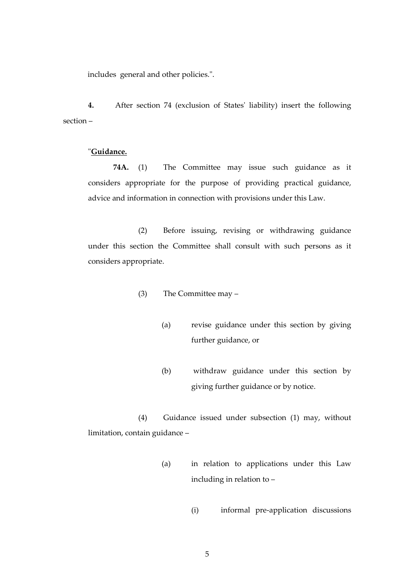includes general and other policies.".

**4.** After section 74 (exclusion of States' liability) insert the following section –

## "**Guidance.**

 **74A.** (1) The Committee may issue such guidance as it considers appropriate for the purpose of providing practical guidance, advice and information in connection with provisions under this Law.

 (2) Before issuing, revising or withdrawing guidance under this section the Committee shall consult with such persons as it considers appropriate.

- (3) The Committee may
	- (a) revise guidance under this section by giving further guidance, or
	- (b) withdraw guidance under this section by giving further guidance or by notice.

 (4) Guidance issued under subsection (1) may, without limitation, contain guidance –

- (a) in relation to applications under this Law including in relation to –
	- (i) informal pre-application discussions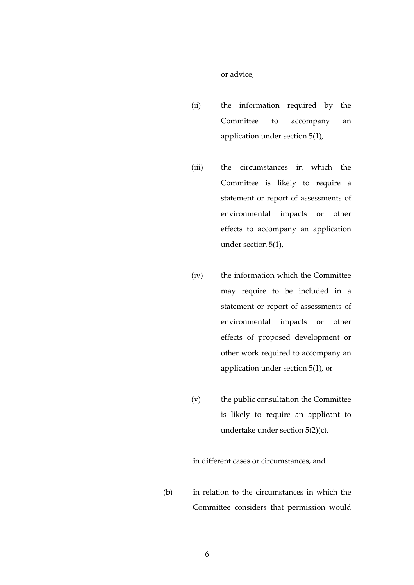or advice,

- (ii) the information required by the Committee to accompany an application under section 5(1),
- (iii) the circumstances in which the Committee is likely to require a statement or report of assessments of environmental impacts or other effects to accompany an application under section 5(1),
- (iv) the information which the Committee may require to be included in a statement or report of assessments of environmental impacts or other effects of proposed development or other work required to accompany an application under section 5(1), or
- (v) the public consultation the Committee is likely to require an applicant to undertake under section 5(2)(c),

in different cases or circumstances, and

(b) in relation to the circumstances in which the Committee considers that permission would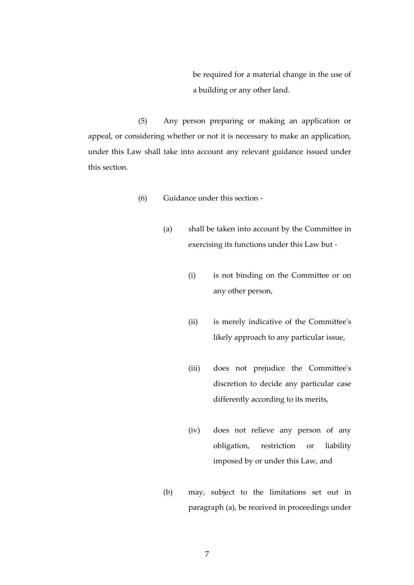be required for a material change in the use of a building or any other land.

 (5) Any person preparing or making an application or appeal, or considering whether or not it is necessary to make an application, under this Law shall take into account any relevant guidance issued under this section.

- (6) Guidance under this section
	- (a) shall be taken into account by the Committee in exercising its functions under this Law but -
		- (i) is not binding on the Committee or on any other person,
		- (ii) is merely indicative of the Committee's likely approach to any particular issue,
		- (iii) does not prejudice the Committee's discretion to decide any particular case differently according to its merits,
		- (iv) does not relieve any person of any obligation, restriction or liability imposed by or under this Law, and
	- (b) may, subject to the limitations set out in paragraph (a), be received in proceedings under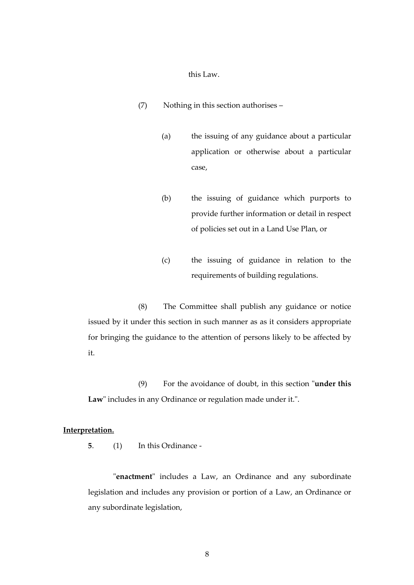this Law.

- (7) Nothing in this section authorises
	- (a) the issuing of any guidance about a particular application or otherwise about a particular case,
	- (b) the issuing of guidance which purports to provide further information or detail in respect of policies set out in a Land Use Plan, or
	- (c) the issuing of guidance in relation to the requirements of building regulations.

 (8) The Committee shall publish any guidance or notice issued by it under this section in such manner as as it considers appropriate for bringing the guidance to the attention of persons likely to be affected by it.

 (9) For the avoidance of doubt, in this section "**under this Law**" includes in any Ordinance or regulation made under it.".

### **Interpretation.**

 **5**. (1) In this Ordinance -

"**enactment**" includes a Law, an Ordinance and any subordinate legislation and includes any provision or portion of a Law, an Ordinance or any subordinate legislation,